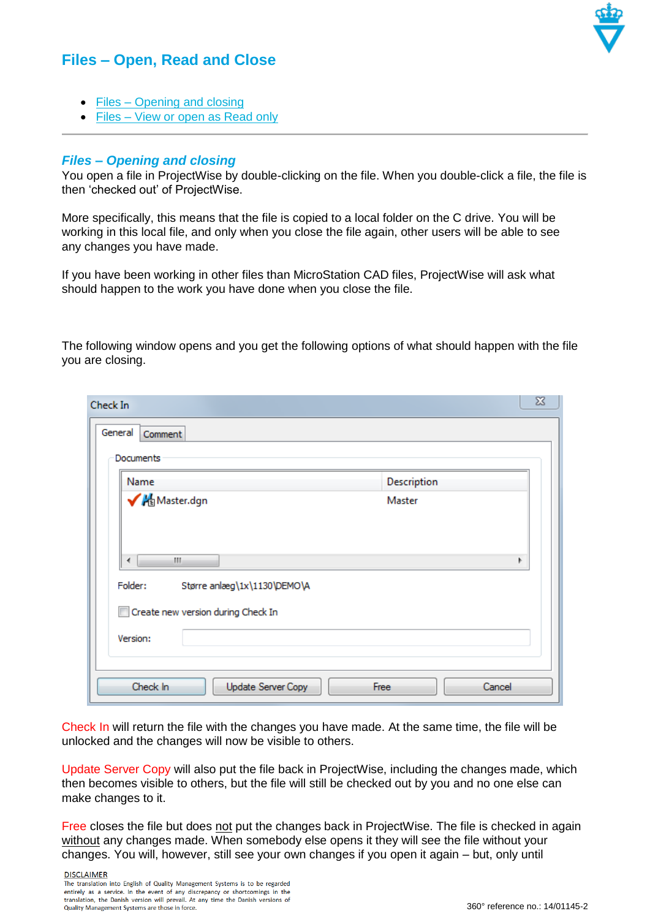## **Files – Open, Read and Close**



- Files [Opening and closing](#page-0-0)
- Files [View or open as Read only](#page-1-0)

## <span id="page-0-0"></span>*Files – Opening and closing*

You open a file in ProjectWise by double-clicking on the file. When you double-click a file, the file is then 'checked out' of ProjectWise.

More specifically, this means that the file is copied to a local folder on the C drive. You will be working in this local file, and only when you close the file again, other users will be able to see any changes you have made.

If you have been working in other files than MicroStation CAD files, ProjectWise will ask what should happen to the work you have done when you close the file.

The following window opens and you get the following options of what should happen with the file you are closing.

| Check In                                          | $\boxtimes$    |
|---------------------------------------------------|----------------|
| General<br>Comment                                |                |
| Documents                                         |                |
| Name                                              | Description    |
| Master.dgn                                        | Master         |
| m.<br>∢<br>Folder:<br>Større anlæg\1x\1130\DEMO\A |                |
| Create new version during Check In<br>F           |                |
| Version:                                          |                |
| Check In<br>Update Server Copy                    | Cancel<br>Free |

Check In will return the file with the changes you have made. At the same time, the file will be unlocked and the changes will now be visible to others.

Update Server Copy will also put the file back in ProjectWise, including the changes made, which then becomes visible to others, but the file will still be checked out by you and no one else can make changes to it.

Free closes the file but does not put the changes back in ProjectWise. The file is checked in again without any changes made. When somebody else opens it they will see the file without your changes. You will, however, still see your own changes if you open it again – but, only until

**DISCLAIMER** The translation into English of Quality Management Systems is to be regarded entirely as a service. In the event of any discrepancy or shortcomings in the translation, the Danish version will prevail. At any time the Danish versions of Quality Management Systems are those in force.